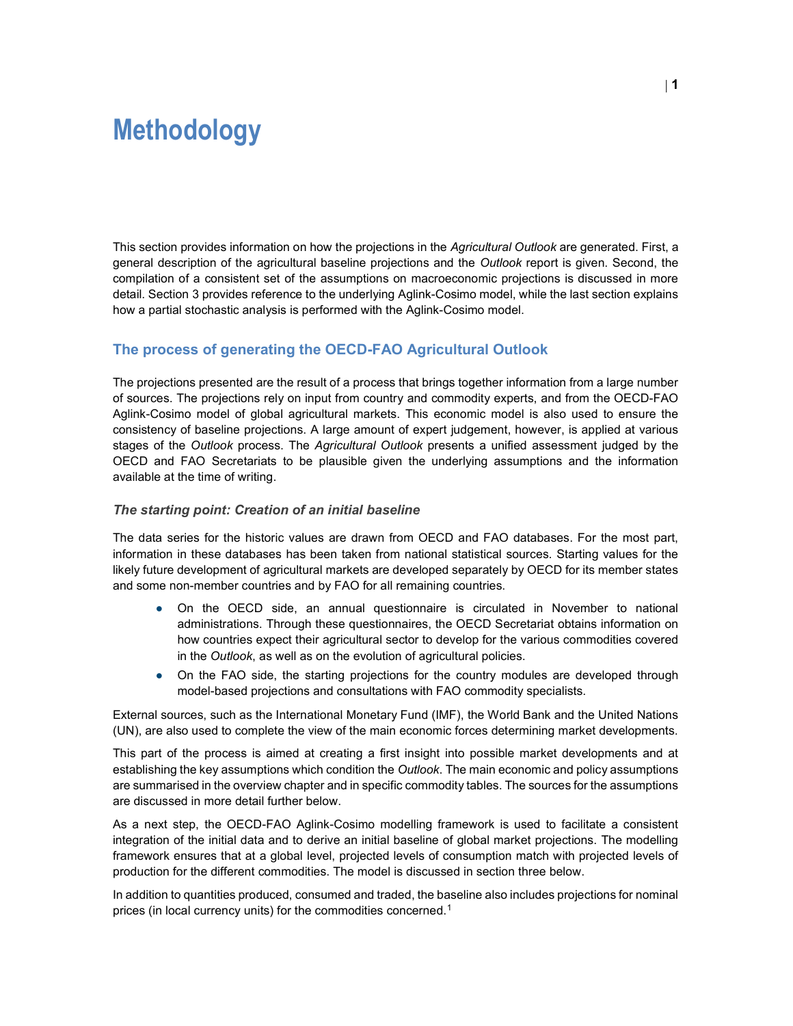# Methodology

This section provides information on how the projections in the Agricultural Outlook are generated. First, a general description of the agricultural baseline projections and the Outlook report is given. Second, the compilation of a consistent set of the assumptions on macroeconomic projections is discussed in more detail. Section 3 provides reference to the underlying Aglink-Cosimo model, while the last section explains how a partial stochastic analysis is performed with the Aglink-Cosimo model.

# The process of generating the OECD-FAO Agricultural Outlook

The projections presented are the result of a process that brings together information from a large number of sources. The projections rely on input from country and commodity experts, and from the OECD-FAO Aglink-Cosimo model of global agricultural markets. This economic model is also used to ensure the consistency of baseline projections. A large amount of expert judgement, however, is applied at various stages of the Outlook process. The Agricultural Outlook presents a unified assessment judged by the OECD and FAO Secretariats to be plausible given the underlying assumptions and the information available at the time of writing.

#### The starting point: Creation of an initial baseline

The data series for the historic values are drawn from OECD and FAO databases. For the most part, information in these databases has been taken from national statistical sources. Starting values for the likely future development of agricultural markets are developed separately by OECD for its member states and some non-member countries and by FAO for all remaining countries.

- On the OECD side, an annual questionnaire is circulated in November to national administrations. Through these questionnaires, the OECD Secretariat obtains information on how countries expect their agricultural sector to develop for the various commodities covered in the Outlook, as well as on the evolution of agricultural policies.
- On the FAO side, the starting projections for the country modules are developed through model-based projections and consultations with FAO commodity specialists.

External sources, such as the International Monetary Fund (IMF), the World Bank and the United Nations (UN), are also used to complete the view of the main economic forces determining market developments.

This part of the process is aimed at creating a first insight into possible market developments and at establishing the key assumptions which condition the Outlook. The main economic and policy assumptions are summarised in the overview chapter and in specific commodity tables. The sources for the assumptions are discussed in more detail further below.

As a next step, the OECD-FAO Aglink-Cosimo modelling framework is used to facilitate a consistent integration of the initial data and to derive an initial baseline of global market projections. The modelling framework ensures that at a global level, projected levels of consumption match with projected levels of production for the different commodities. The model is discussed in section three below.

In addition to quantities produced, consumed and traded, the baseline also includes projections for nominal prices (in local currency units) for the commodities concerned.<sup>1</sup>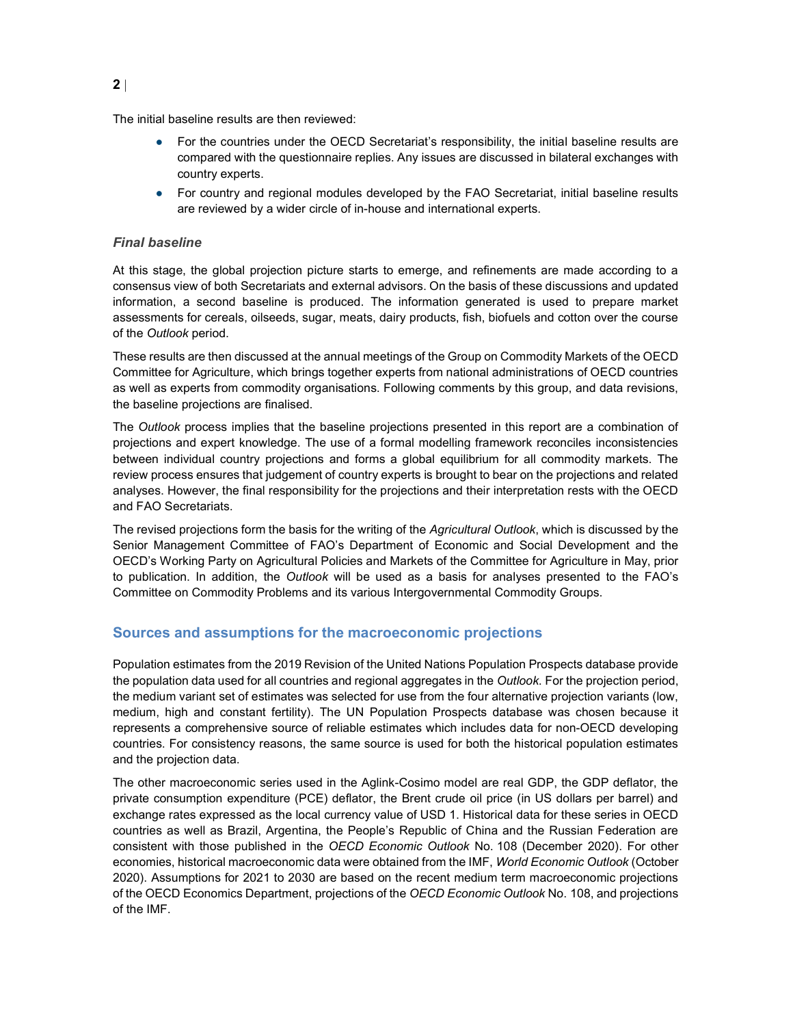The initial baseline results are then reviewed:

- For the countries under the OECD Secretariat's responsibility, the initial baseline results are compared with the questionnaire replies. Any issues are discussed in bilateral exchanges with country experts.
- For country and regional modules developed by the FAO Secretariat, initial baseline results are reviewed by a wider circle of in-house and international experts.

## Final baseline

At this stage, the global projection picture starts to emerge, and refinements are made according to a consensus view of both Secretariats and external advisors. On the basis of these discussions and updated information, a second baseline is produced. The information generated is used to prepare market assessments for cereals, oilseeds, sugar, meats, dairy products, fish, biofuels and cotton over the course of the Outlook period.

These results are then discussed at the annual meetings of the Group on Commodity Markets of the OECD Committee for Agriculture, which brings together experts from national administrations of OECD countries as well as experts from commodity organisations. Following comments by this group, and data revisions, the baseline projections are finalised.

The Outlook process implies that the baseline projections presented in this report are a combination of projections and expert knowledge. The use of a formal modelling framework reconciles inconsistencies between individual country projections and forms a global equilibrium for all commodity markets. The review process ensures that judgement of country experts is brought to bear on the projections and related analyses. However, the final responsibility for the projections and their interpretation rests with the OECD and FAO Secretariats.

The revised projections form the basis for the writing of the Agricultural Outlook, which is discussed by the Senior Management Committee of FAO's Department of Economic and Social Development and the OECD's Working Party on Agricultural Policies and Markets of the Committee for Agriculture in May, prior to publication. In addition, the Outlook will be used as a basis for analyses presented to the FAO's Committee on Commodity Problems and its various Intergovernmental Commodity Groups.

## Sources and assumptions for the macroeconomic projections

Population estimates from the 2019 Revision of the United Nations Population Prospects database provide the population data used for all countries and regional aggregates in the Outlook. For the projection period, the medium variant set of estimates was selected for use from the four alternative projection variants (low, medium, high and constant fertility). The UN Population Prospects database was chosen because it represents a comprehensive source of reliable estimates which includes data for non-OECD developing countries. For consistency reasons, the same source is used for both the historical population estimates and the projection data.

The other macroeconomic series used in the Aglink-Cosimo model are real GDP, the GDP deflator, the private consumption expenditure (PCE) deflator, the Brent crude oil price (in US dollars per barrel) and exchange rates expressed as the local currency value of USD 1. Historical data for these series in OECD countries as well as Brazil, Argentina, the People's Republic of China and the Russian Federation are consistent with those published in the OECD Economic Outlook No. 108 (December 2020). For other economies, historical macroeconomic data were obtained from the IMF, World Economic Outlook (October 2020). Assumptions for 2021 to 2030 are based on the recent medium term macroeconomic projections of the OECD Economics Department, projections of the OECD Economic Outlook No. 108, and projections of the IMF.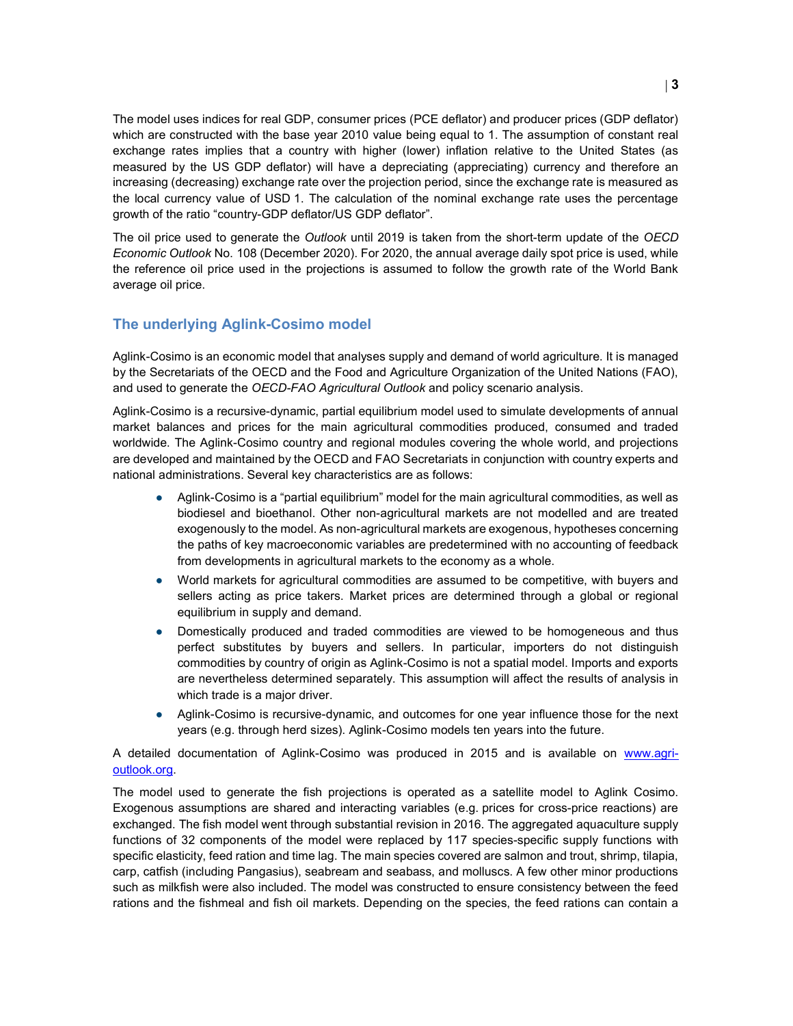The model uses indices for real GDP, consumer prices (PCE deflator) and producer prices (GDP deflator) which are constructed with the base year 2010 value being equal to 1. The assumption of constant real exchange rates implies that a country with higher (lower) inflation relative to the United States (as measured by the US GDP deflator) will have a depreciating (appreciating) currency and therefore an increasing (decreasing) exchange rate over the projection period, since the exchange rate is measured as the local currency value of USD 1. The calculation of the nominal exchange rate uses the percentage growth of the ratio "country-GDP deflator/US GDP deflator".

The oil price used to generate the Outlook until 2019 is taken from the short-term update of the OECD Economic Outlook No. 108 (December 2020). For 2020, the annual average daily spot price is used, while the reference oil price used in the projections is assumed to follow the growth rate of the World Bank average oil price.

# The underlying Aglink-Cosimo model

Aglink-Cosimo is an economic model that analyses supply and demand of world agriculture. It is managed by the Secretariats of the OECD and the Food and Agriculture Organization of the United Nations (FAO), and used to generate the OECD-FAO Agricultural Outlook and policy scenario analysis.

Aglink-Cosimo is a recursive-dynamic, partial equilibrium model used to simulate developments of annual market balances and prices for the main agricultural commodities produced, consumed and traded worldwide. The Aglink-Cosimo country and regional modules covering the whole world, and projections are developed and maintained by the OECD and FAO Secretariats in conjunction with country experts and national administrations. Several key characteristics are as follows:

- Aglink-Cosimo is a "partial equilibrium" model for the main agricultural commodities, as well as biodiesel and bioethanol. Other non-agricultural markets are not modelled and are treated exogenously to the model. As non-agricultural markets are exogenous, hypotheses concerning the paths of key macroeconomic variables are predetermined with no accounting of feedback from developments in agricultural markets to the economy as a whole.
- World markets for agricultural commodities are assumed to be competitive, with buyers and sellers acting as price takers. Market prices are determined through a global or regional equilibrium in supply and demand.
- Domestically produced and traded commodities are viewed to be homogeneous and thus perfect substitutes by buyers and sellers. In particular, importers do not distinguish commodities by country of origin as Aglink-Cosimo is not a spatial model. Imports and exports are nevertheless determined separately. This assumption will affect the results of analysis in which trade is a major driver.
- Aglink-Cosimo is recursive-dynamic, and outcomes for one year influence those for the next years (e.g. through herd sizes). Aglink-Cosimo models ten years into the future.

#### A detailed documentation of Aglink-Cosimo was produced in 2015 and is available on www.agrioutlook.org.

The model used to generate the fish projections is operated as a satellite model to Aglink Cosimo. Exogenous assumptions are shared and interacting variables (e.g. prices for cross-price reactions) are exchanged. The fish model went through substantial revision in 2016. The aggregated aquaculture supply functions of 32 components of the model were replaced by 117 species-specific supply functions with specific elasticity, feed ration and time lag. The main species covered are salmon and trout, shrimp, tilapia, carp, catfish (including Pangasius), seabream and seabass, and molluscs. A few other minor productions such as milkfish were also included. The model was constructed to ensure consistency between the feed rations and the fishmeal and fish oil markets. Depending on the species, the feed rations can contain a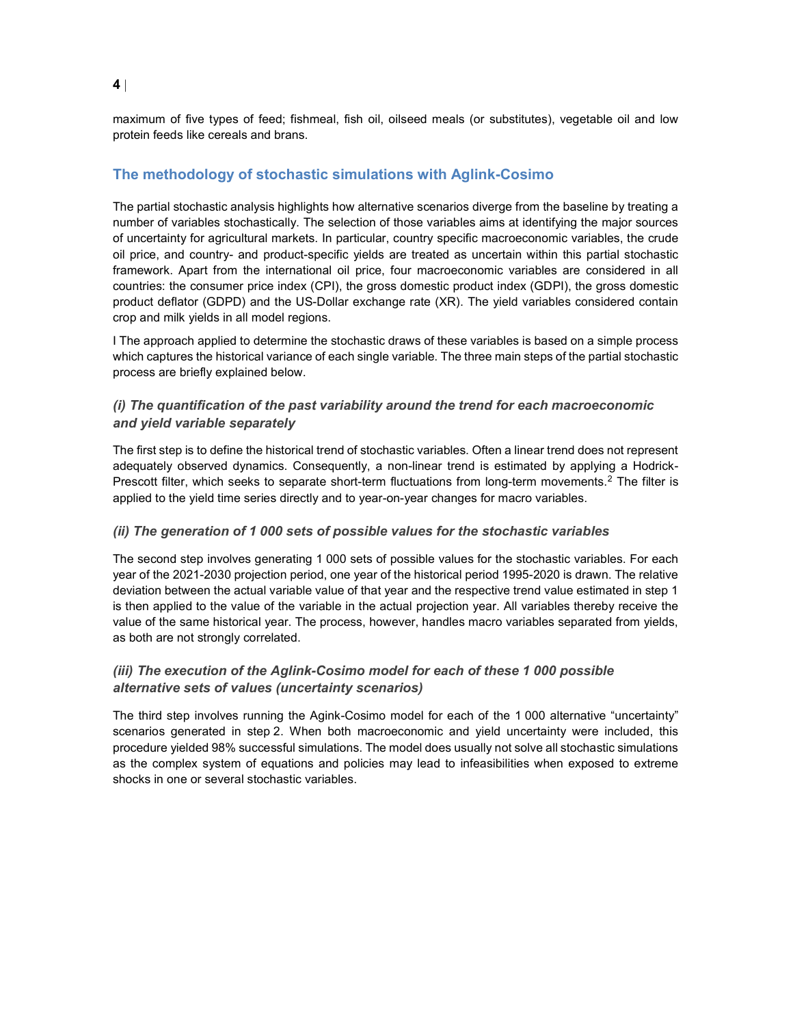maximum of five types of feed; fishmeal, fish oil, oilseed meals (or substitutes), vegetable oil and low protein feeds like cereals and brans.

# The methodology of stochastic simulations with Aglink-Cosimo

The partial stochastic analysis highlights how alternative scenarios diverge from the baseline by treating a number of variables stochastically. The selection of those variables aims at identifying the major sources of uncertainty for agricultural markets. In particular, country specific macroeconomic variables, the crude oil price, and country- and product-specific yields are treated as uncertain within this partial stochastic framework. Apart from the international oil price, four macroeconomic variables are considered in all countries: the consumer price index (CPI), the gross domestic product index (GDPI), the gross domestic product deflator (GDPD) and the US-Dollar exchange rate (XR). The yield variables considered contain crop and milk yields in all model regions.

I The approach applied to determine the stochastic draws of these variables is based on a simple process which captures the historical variance of each single variable. The three main steps of the partial stochastic process are briefly explained below.

## (i) The quantification of the past variability around the trend for each macroeconomic and yield variable separately

The first step is to define the historical trend of stochastic variables. Often a linear trend does not represent adequately observed dynamics. Consequently, a non-linear trend is estimated by applying a Hodrick-Prescott filter, which seeks to separate short-term fluctuations from long-term movements.<sup>2</sup> The filter is applied to the yield time series directly and to year-on-year changes for macro variables.

#### (ii) The generation of 1 000 sets of possible values for the stochastic variables

The second step involves generating 1 000 sets of possible values for the stochastic variables. For each year of the 2021-2030 projection period, one year of the historical period 1995-2020 is drawn. The relative deviation between the actual variable value of that year and the respective trend value estimated in step 1 is then applied to the value of the variable in the actual projection year. All variables thereby receive the value of the same historical year. The process, however, handles macro variables separated from yields, as both are not strongly correlated.

## (iii) The execution of the Aglink-Cosimo model for each of these 1 000 possible alternative sets of values (uncertainty scenarios)

The third step involves running the Agink-Cosimo model for each of the 1 000 alternative "uncertainty" scenarios generated in step 2. When both macroeconomic and yield uncertainty were included, this procedure yielded 98% successful simulations. The model does usually not solve all stochastic simulations as the complex system of equations and policies may lead to infeasibilities when exposed to extreme shocks in one or several stochastic variables.